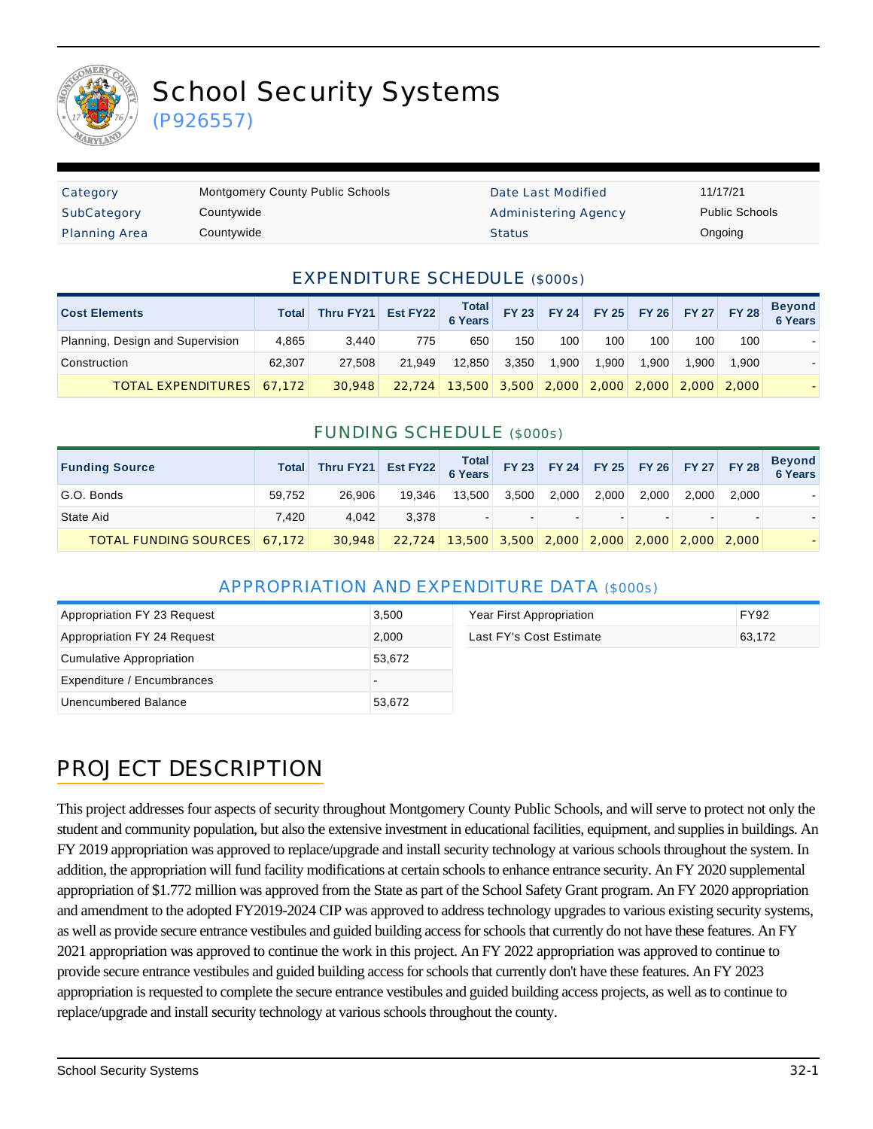

# School Security Systems

(P926557)

| Category             | <b>Montgomery County Public Schools</b> | Date Last Modified          | 11/17/21              |
|----------------------|-----------------------------------------|-----------------------------|-----------------------|
| SubCategory          | Countywide                              | <b>Administering Agency</b> | <b>Public Schools</b> |
| <b>Planning Area</b> | Countywide                              | <b>Status</b>               | Ongoing               |

#### EXPENDITURE SCHEDULE (\$000s)

| <b>Cost Elements</b>             | <b>Total</b> | Thru FY21 Est FY22 6 Years FY 23 FY 24 FY 25 FY 26 FY 27 FY 28 |        |                                                   |       |       |       |       |       |       | Beyond<br>6 Years |
|----------------------------------|--------------|----------------------------------------------------------------|--------|---------------------------------------------------|-------|-------|-------|-------|-------|-------|-------------------|
| Planning, Design and Supervision | 4.865        | 3.440                                                          | 775    | 650                                               | 150   | 100   | 100   | 100   | 100   | 100   |                   |
| Construction                     | 62.307       | 27.508                                                         | 21.949 | 12.850                                            | 3.350 | 1.900 | 1.900 | 1.900 | 0.900 | 1.900 |                   |
| <b>TOTAL EXPENDITURES 67,172</b> |              | 30,948                                                         |        | 22,724 13,500 3,500 2,000 2,000 2,000 2,000 2,000 |       |       |       |       |       |       |                   |

#### FUNDING SCHEDULE (\$000s)

| <b>Funding Source</b>               | <b>Total</b> |        |        |                                                   |       |       |       |       |       |       | Beyond<br>6 Years |
|-------------------------------------|--------------|--------|--------|---------------------------------------------------|-------|-------|-------|-------|-------|-------|-------------------|
| G.O. Bonds                          | 59.752       | 26,906 | 19.346 | 13.500                                            | 3.500 | 2.000 | 2.000 | 2.000 | 2.000 | 2.000 |                   |
| State Aid                           | 7.420        | 4.042  | 3.378  |                                                   |       |       |       |       |       |       |                   |
| <b>TOTAL FUNDING SOURCES 67,172</b> |              | 30.948 |        | 22,724 13,500 3,500 2,000 2,000 2,000 2,000 2,000 |       |       |       |       |       |       |                   |

#### APPROPRIATION AND EXPENDITURE DATA (\$000s)

| Appropriation FY 23 Request | 3,500  | Year First Appropriation | <b>FY92</b> |
|-----------------------------|--------|--------------------------|-------------|
| Appropriation FY 24 Request | 2.000  | Last FY's Cost Estimate  | 63.172      |
| Cumulative Appropriation    | 53.672 |                          |             |
| Expenditure / Encumbrances  |        |                          |             |
| Unencumbered Balance        | 53.672 |                          |             |

### PROJECT DESCRIPTION

This project addresses four aspects of security throughout Montgomery County Public Schools, and will serve to protect not only the student and community population, but also the extensive investment in educational facilities, equipment, and supplies in buildings. An FY 2019 appropriation was approved to replace/upgrade and install security technology at various schools throughout the system. In addition, the appropriation will fund facility modifications at certain schools to enhance entrance security. An FY 2020 supplemental appropriation of \$1.772 million was approved from the State as part of the School Safety Grant program. An FY 2020 appropriation and amendment to the adopted FY2019-2024 CIP was approved to address technology upgrades to various existing security systems, as well as provide secure entrance vestibules and guided building access for schools that currently do not have these features. An FY 2021 appropriation was approved to continue the work in this project. An FY 2022 appropriation was approved to continue to provide secure entrance vestibules and guided building access for schools that currently don't have these features. An FY 2023 appropriation is requested to complete the secure entrance vestibules and guided building access projects, as well as to continue to replace/upgrade and install security technology at various schools throughout the county.